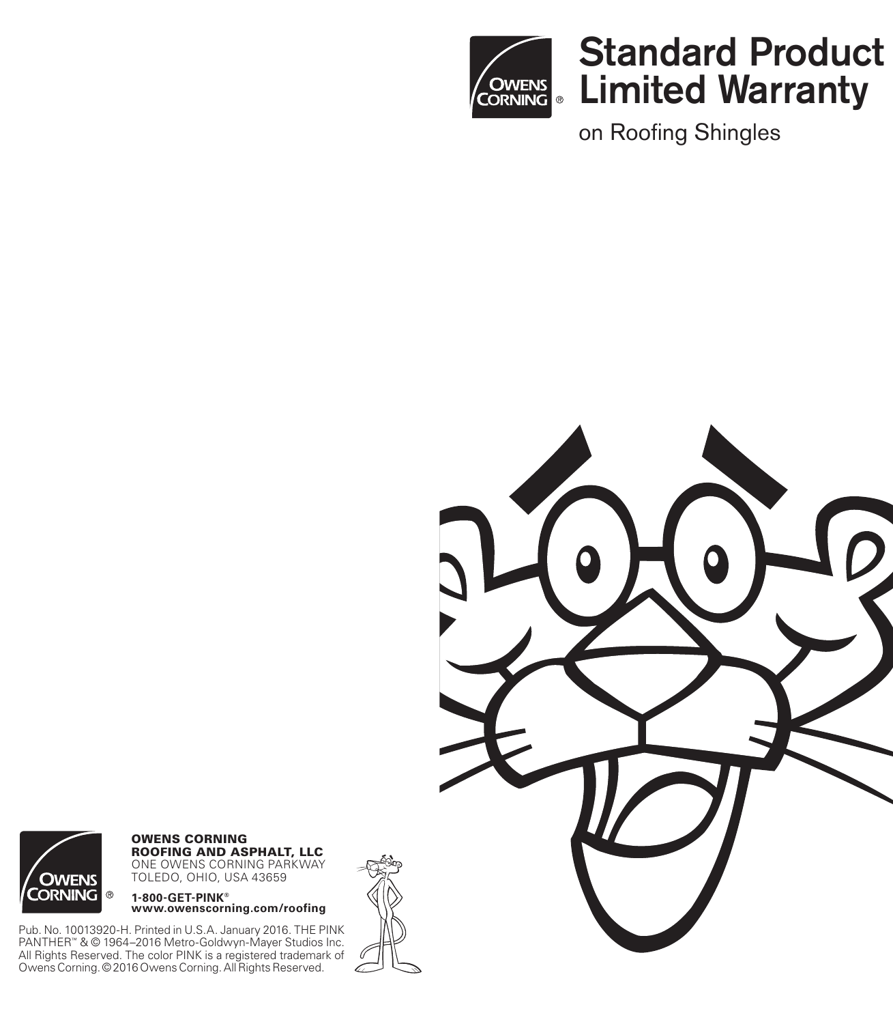

# Standard Product Limited Warranty

on Roofing Shingles





**OWENS CORNING ROOFING AND ASPHALT, LLC** ONE OWENS CORNING PARKWAY TOLEDO, OHIO, USA 43659

**1-800-GET-PINK®**

-<br>Pub. No. 10013920-H. Printed in U.S.A. January 2016. THE PINK<br>PANTHER™ & © 1964–2016 Metro-Goldwyn-Mayer Studios Inc.<br>All Rights Reserved. The color PINK is a registered trademark of<br>Owens Corning. © 2016 Owens Corning.

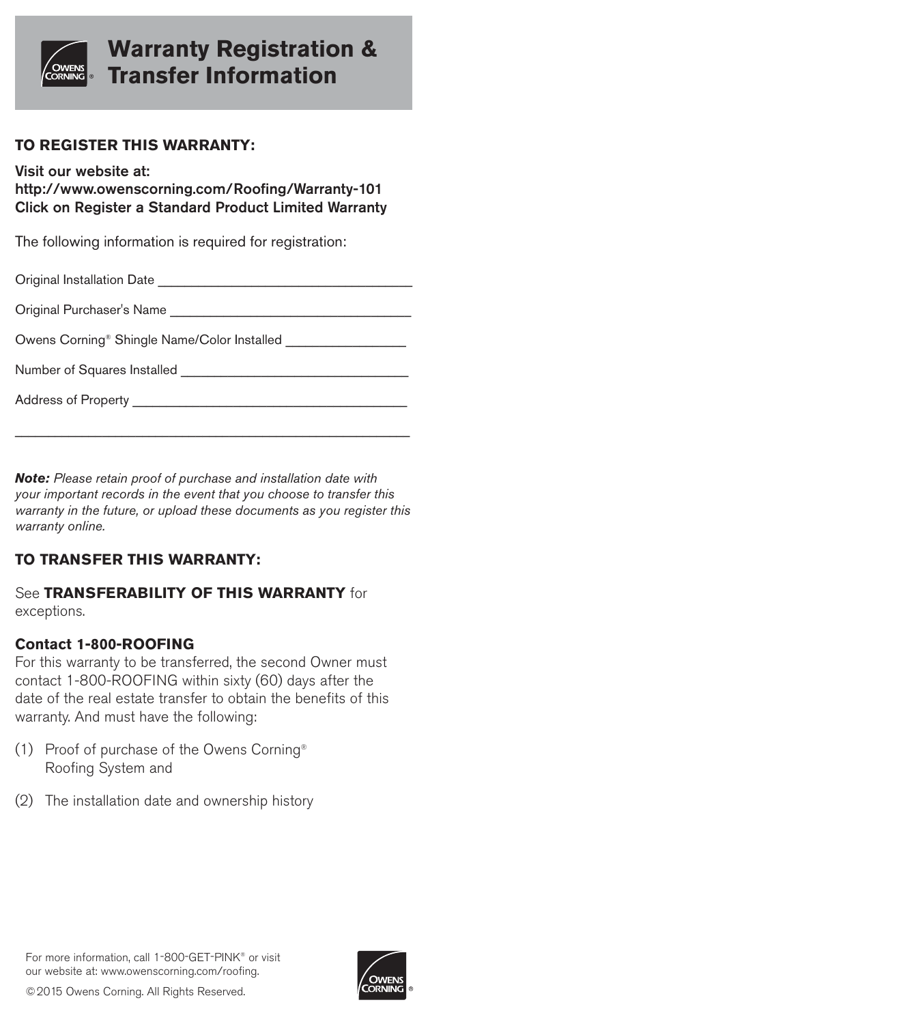

# **Warranty Registration & Transfer Information**

### **TO REGISTER THIS WARRANTY:**

Visit our website at:

http://www.owenscorning.com/Roofing/Warranty-101 Click on Register a Standard Product Limited Warranty

The following information is required for registration:

| Original Installation Date |  |
|----------------------------|--|
|                            |  |

Original Purchaser's Name

Owens Corning<sup>®</sup> Shingle Name/Color Installed

Number of Squares Installed **Example 20** 

Address of Property **Exercise 20** 

**Note:** Please retain proof of purchase and installation date with your important records in the event that you choose to transfer this warranty in the future, or upload these documents as you register this warranty online.

\_\_\_\_\_\_\_\_\_\_\_\_\_\_\_\_\_\_\_\_\_\_\_\_\_\_\_\_\_\_\_\_\_\_\_\_\_\_\_\_\_\_\_\_\_\_\_\_\_\_\_\_\_\_\_\_\_\_\_

## **TO TRANSFER THIS WARRANTY:**

See **TRANSFERABILITY OF THIS WARRANTY** for exceptions.

### **Contact 1-800-ROOFING**

For this warranty to be transferred, the second Owner must contact 1-800-ROOFING within sixty (60) days after the date of the real estate transfer to obtain the benefits of this warranty. And must have the following:

- (1) Proof of purchase of the Owens Corning® Roofing System and
- (2) The installation date and ownership history



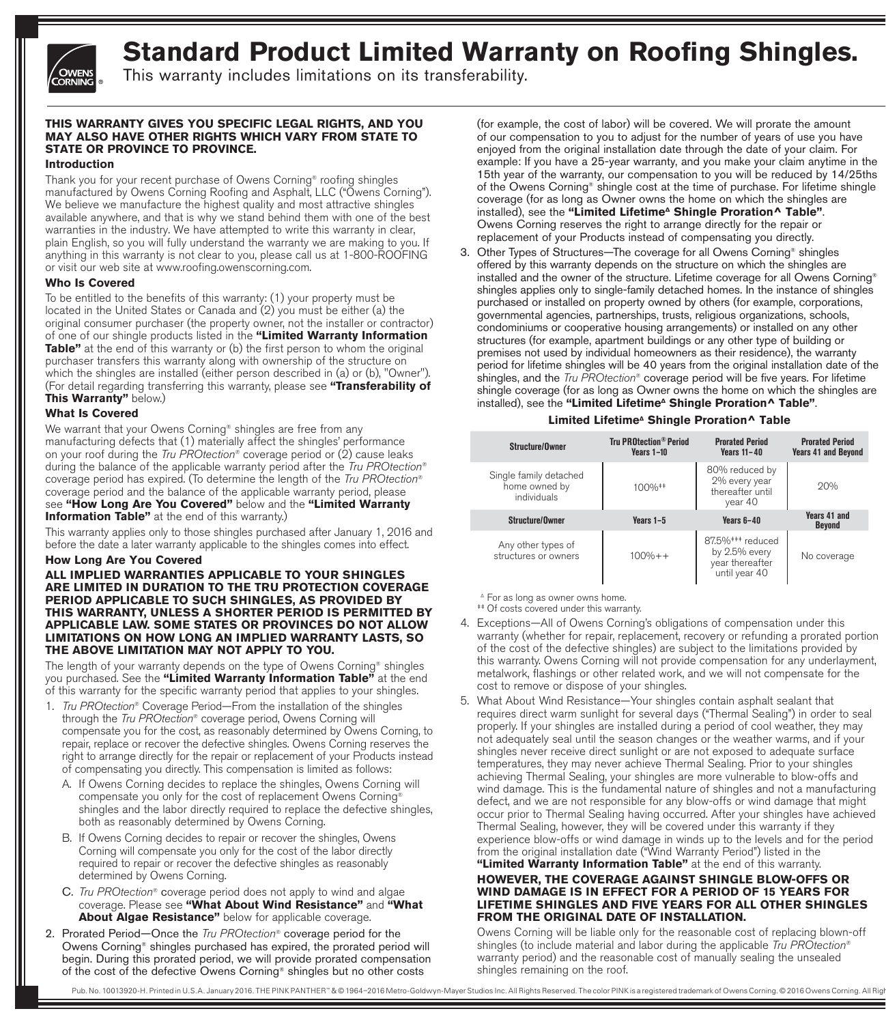

# **Standard Product Limited Warranty on Roofing Shingles.**

This warranty includes limitations on its transferability.

#### **THIS WARRANTY GIVES YOU SPECIFIC LEGAL RIGHTS, AND YOU MAY ALSO HAVE OTHER RIGHTS WHICH VARY FROM STATE TO STATE OR PROVINCE TO PROVINCE.**

#### **Introduction**

Thank you for your recent purchase of Owens Corning® roofing shingles manufactured by Owens Corning Roofing and Asphalt, LLC ("Owens Corning"). We believe we manufacture the highest quality and most attractive shingles available anywhere, and that is why we stand behind them with one of the best warranties in the industry. We have attempted to write this warranty in clear, plain English, so you will fully understand the warranty we are making to you. If anything in this warranty is not clear to you, please call us at 1-800-ROOFING or visit our web site at www.roofing.owenscorning.com.

#### **Who Is Covered**

To be entitled to the benefits of this warranty: (1) your property must be located in the United States or Canada and (2) you must be either (a) the original consumer purchaser (the property owner, not the installer or contractor) of one of our shingle products listed in the **"Limited Warranty Information Table"** at the end of this warranty or (b) the first person to whom the original purchaser transfers this warranty along with ownership of the structure on which the shingles are installed (either person described in (a) or (b), "Owner"). (For detail regarding transferring this warranty, please see **"Transferability of This Warranty"** below.)

#### **What Is Covered**

We warrant that your Owens Corning® shingles are free from any manufacturing defects that (1) materially affect the shingles' performance on your roof during the Tru PROtection<sup>®</sup> coverage period or  $(2)$  cause leaks during the balance of the applicable warranty period after the Tru PROtection® coverage period has expired. (To determine the length of the Tru PROtection® coverage period and the balance of the applicable warranty period, please see **"How Long Are You Covered"** below and the **"Limited Warranty Information Table"** at the end of this warranty.)

This warranty applies only to those shingles purchased after January 1, 2016 and before the date a later warranty applicable to the shingles comes into effect.

#### **How Long Are You Covered**

#### **ALL IMPLIED WARRANTIES APPLICABLE TO YOUR SHINGLES ARE LIMITED IN DURATION TO THE TRU PROTECTION COVERAGE PERIOD APPLICABLE TO SUCH SHINGLES, AS PROVIDED BY THIS WARRANTY, UNLESS A SHORTER PERIOD IS PERMITTED BY APPLICABLE LAW. SOME STATES OR PROVINCES DO NOT ALLOW LIMITATIONS ON HOW LONG AN IMPLIED WARRANTY LASTS, SO THE ABOVE LIMITATION MAY NOT APPLY TO YOU.**

The length of your warranty depends on the type of Owens Corning® shingles you purchased. See the **"Limited Warranty Information Table"** at the end of this warranty for the specific warranty period that applies to your shingles.

- 1. Tru PROtection® Coverage Period—From the installation of the shingles through the Tru PROtection® coverage period, Owens Corning will compensate you for the cost, as reasonably determined by Owens Corning, to repair, replace or recover the defective shingles. Owens Corning reserves the right to arrange directly for the repair or replacement of your Products instead of compensating you directly. This compensation is limited as follows:
	- A. If Owens Corning decides to replace the shingles, Owens Corning will compensate you only for the cost of replacement Owens Corning® shingles and the labor directly required to replace the defective shingles, both as reasonably determined by Owens Corning.
	- B. If Owens Corning decides to repair or recover the shingles, Owens Corning will compensate you only for the cost of the labor directly required to repair or recover the defective shingles as reasonably determined by Owens Corning.
	- C. Tru PROtection® coverage period does not apply to wind and algae coverage. Please see **"What About Wind Resistance"** and **"What About Algae Resistance"** below for applicable coverage.
- 2. Prorated Period-Once the Tru PROtection® coverage period for the Owens Corning® shingles purchased has expired, the prorated period will begin. During this prorated period, we will provide prorated compensation of the cost of the defective Owens Corning® shingles but no other costs

(for example, the cost of labor) will be covered. We will prorate the amount of our compensation to you to adjust for the number of years of use you have enjoyed from the original installation date through the date of your claim. For example: If you have a 25-year warranty, and you make your claim anytime in the 15th year of the warranty, our compensation to you will be reduced by 14/25ths of the Owens Corning® shingle cost at the time of purchase. For lifetime shingle coverage (for as long as Owner owns the home on which the shingles are installed), see the "Limited Lifetime<sup>^</sup> Shingle Proration^ Table". Owens Corning reserves the right to arrange directly for the repair or replacement of your Products instead of compensating you directly.

3. Other Types of Structures—The coverage for all Owens Corning® shingles offered by this warranty depends on the structure on which the shingles are installed and the owner of the structure. Lifetime coverage for all Owens Corning® shingles applies only to single-family detached homes. In the instance of shingles purchased or installed on property owned by others (for example, corporations, governmental agencies, partnerships, trusts, religious organizations, schools, condominiums or cooperative housing arrangements) or installed on any other structures (for example, apartment buildings or any other type of building or premises not used by individual homeowners as their residence), the warranty period for lifetime shingles will be 40 years from the original installation date of the shingles, and the  $Tru$  PROtection<sup>®</sup> coverage period will be five years. For lifetime shingle coverage (for as long as Owner owns the home on which the shingles are installed), see the "Limited Lifetime<sup>^</sup> Shingle Proration^ Table".

#### Limited Lifetime<sup>^</sup> Shingle Proration<sup>^</sup> Table

| Structure/Owner                                        | <b>Tru PROtection® Period</b><br>$\text{Vears } 1 - 10$ | <b>Prorated Period</b><br><b>Years 11-40</b>                                      | <b>Prorated Period</b><br><b>Years 41 and Beyond</b> |
|--------------------------------------------------------|---------------------------------------------------------|-----------------------------------------------------------------------------------|------------------------------------------------------|
| Single family detached<br>home owned by<br>individuals | 100% **                                                 | 80% reduced by<br>2% every year<br>thereafter until<br>year 40                    | 20%                                                  |
| Structure/Owner                                        | Years $1-5$                                             | Years $6-40$                                                                      | <b>Years 41 and</b><br><b>Bevond</b>                 |
| Any other types of<br>structures or owners             | $100% + +$                                              | 87.5% <sup>###</sup> reduced<br>by 2.5% every<br>year thereafter<br>until year 40 | No coverage                                          |

<sup>Δ</sup> For as long as owner owns home.

‡‡ Of costs covered under this warranty.

- 4. Exceptions—All of Owens Corning's obligations of compensation under this warranty (whether for repair, replacement, recovery or refunding a prorated portion of the cost of the defective shingles) are subject to the limitations provided by this warranty. Owens Corning will not provide compensation for any underlayment, metalwork, flashings or other related work, and we will not compensate for the cost to remove or dispose of your shingles.
- 5. What About Wind Resistance—Your shingles contain asphalt sealant that requires direct warm sunlight for several days ("Thermal Sealing") in order to seal properly. If your shingles are installed during a period of cool weather, they may not adequately seal until the season changes or the weather warms, and if your shingles never receive direct sunlight or are not exposed to adequate surface temperatures, they may never achieve Thermal Sealing. Prior to your shingles achieving Thermal Sealing, your shingles are more vulnerable to blow-offs and wind damage. This is the fundamental nature of shingles and not a manufacturing defect, and we are not responsible for any blow-offs or wind damage that might occur prior to Thermal Sealing having occurred. After your shingles have achieved Thermal Sealing, however, they will be covered under this warranty if they experience blow-offs or wind damage in winds up to the levels and for the period from the original installation date ("Wind Warranty Period") listed in the

#### **"Limited Warranty Information Table"** at the end of this warranty. **HOWEVER, THE COVERAGE AGAINST SHINGLE BLOW-OFFS OR WIND DAMAGE IS IN EFFECT FOR A PERIOD OF 15 YEARS FOR LIFETIME SHINGLES AND FIVE YEARS FOR ALL OTHER SHINGLES FROM THE ORIGINAL DATE OF INSTALLATION.**

 Owens Corning will be liable only for the reasonable cost of replacing blown-off shingles (to include material and labor during the applicable Tru PROtection® warranty period) and the reasonable cost of manually sealing the unsealed shingles remaining on the roof.

Pub. No. 10013920-H. Printed in U.S.A. January 2016. THE PINK PANTHER" & @ 1964-2016 Metro-Goldwyn-Mayer Studios Inc. All Rights Reserved. The color PINK is a registered trademark of Owens Corning. @ 2016 Owens Corning. Al